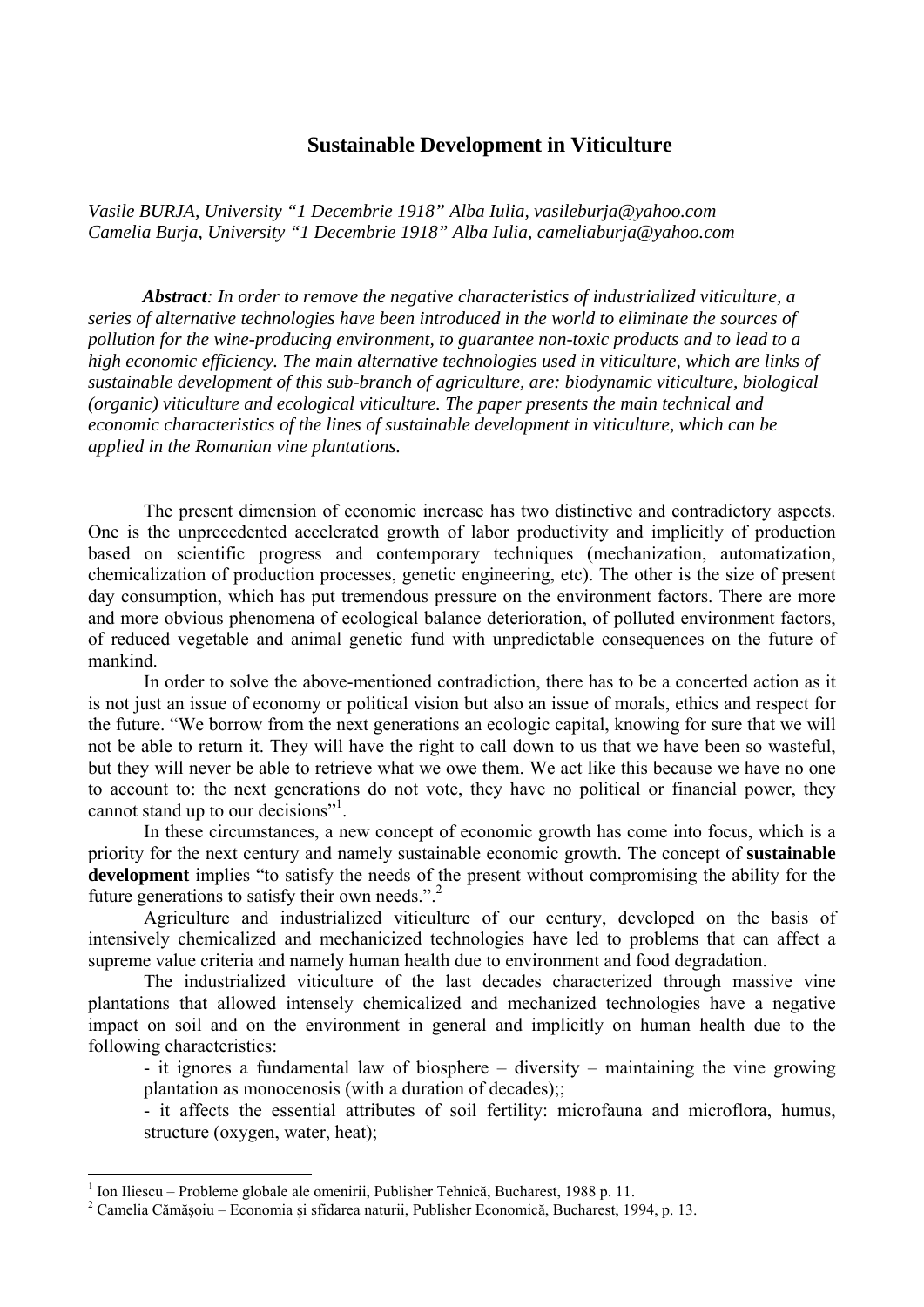## **Sustainable Development in Viticulture**

*Vasile BURJA, University "1 Decembrie 1918" Alba Iulia, vasileburja@yahoo.com Camelia Burja, University "1 Decembrie 1918" Alba Iulia, cameliaburja@yahoo.com* 

*Abstract: In order to remove the negative characteristics of industrialized viticulture, a series of alternative technologies have been introduced in the world to eliminate the sources of pollution for the wine-producing environment, to guarantee non-toxic products and to lead to a high economic efficiency. The main alternative technologies used in viticulture, which are links of sustainable development of this sub-branch of agriculture, are: biodynamic viticulture, biological (organic) viticulture and ecological viticulture. The paper presents the main technical and economic characteristics of the lines of sustainable development in viticulture, which can be applied in the Romanian vine plantations.* 

The present dimension of economic increase has two distinctive and contradictory aspects. One is the unprecedented accelerated growth of labor productivity and implicitly of production based on scientific progress and contemporary techniques (mechanization, automatization, chemicalization of production processes, genetic engineering, etc). The other is the size of present day consumption, which has put tremendous pressure on the environment factors. There are more and more obvious phenomena of ecological balance deterioration, of polluted environment factors, of reduced vegetable and animal genetic fund with unpredictable consequences on the future of mankind.

In order to solve the above-mentioned contradiction, there has to be a concerted action as it is not just an issue of economy or political vision but also an issue of morals, ethics and respect for the future. "We borrow from the next generations an ecologic capital, knowing for sure that we will not be able to return it. They will have the right to call down to us that we have been so wasteful, but they will never be able to retrieve what we owe them. We act like this because we have no one to account to: the next generations do not vote, they have no political or financial power, they cannot stand up to our decisions"<sup>1</sup>.

In these circumstances, a new concept of economic growth has come into focus, which is a priority for the next century and namely sustainable economic growth. The concept of **sustainable development** implies "to satisfy the needs of the present without compromising the ability for the future generations to satisfy their own needs.".<sup>2</sup>

Agriculture and industrialized viticulture of our century, developed on the basis of intensively chemicalized and mechanicized technologies have led to problems that can affect a supreme value criteria and namely human health due to environment and food degradation.

The industrialized viticulture of the last decades characterized through massive vine plantations that allowed intensely chemicalized and mechanized technologies have a negative impact on soil and on the environment in general and implicitly on human health due to the following characteristics:

- it ignores a fundamental law of biosphere – diversity – maintaining the vine growing plantation as monocenosis (with a duration of decades);;

- it affects the essential attributes of soil fertility: microfauna and microflora, humus, structure (oxygen, water, heat);

<sup>&</sup>lt;sup>1</sup> Ion Iliescu – Probleme globale ale omenirii, Publisher Tehnică, Bucharest, 1988 p. 11.<br><sup>2</sup> Camelia Cămăreiu – Esonomia și sfiderea naturii, Publisher Esonomiaă, Bucharest, 19

Camelia Cămăşoiu – Economia şi sfidarea naturii, Publisher Economică, Bucharest, 1994, p. 13.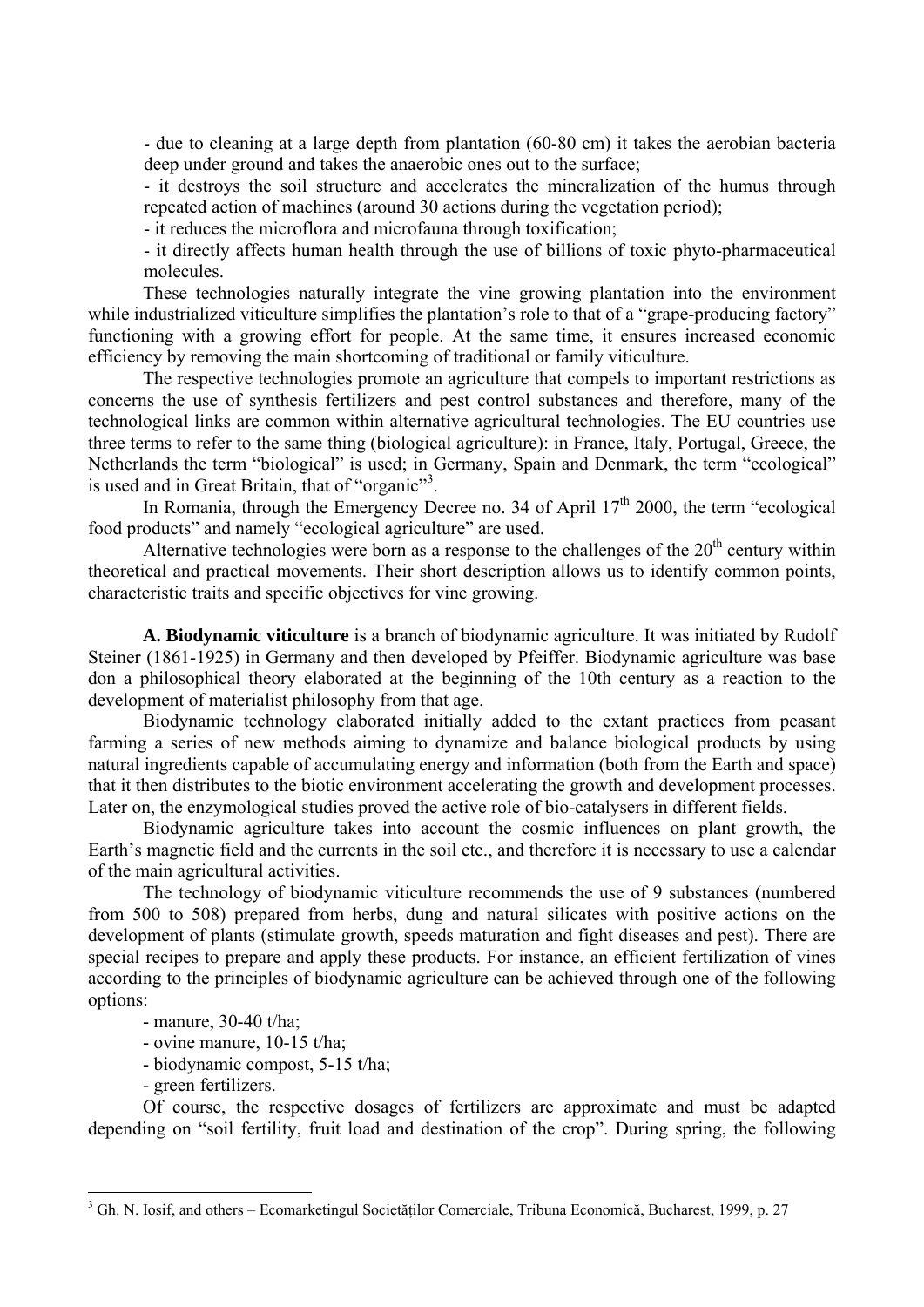- due to cleaning at a large depth from plantation (60-80 cm) it takes the aerobian bacteria deep under ground and takes the anaerobic ones out to the surface;

- it destroys the soil structure and accelerates the mineralization of the humus through repeated action of machines (around 30 actions during the vegetation period);

- it reduces the microflora and microfauna through toxification;

- it directly affects human health through the use of billions of toxic phyto-pharmaceutical molecules.

These technologies naturally integrate the vine growing plantation into the environment while industrialized viticulture simplifies the plantation's role to that of a "grape-producing factory" functioning with a growing effort for people. At the same time, it ensures increased economic efficiency by removing the main shortcoming of traditional or family viticulture.

The respective technologies promote an agriculture that compels to important restrictions as concerns the use of synthesis fertilizers and pest control substances and therefore, many of the technological links are common within alternative agricultural technologies. The EU countries use three terms to refer to the same thing (biological agriculture): in France, Italy, Portugal, Greece, the Netherlands the term "biological" is used; in Germany, Spain and Denmark, the term "ecological" is used and in Great Britain, that of "organic"<sup>3</sup>.

In Romania, through the Emergency Decree no. 34 of April  $17<sup>th</sup>$  2000, the term "ecological food products" and namely "ecological agriculture" are used.

Alternative technologies were born as a response to the challenges of the  $20<sup>th</sup>$  century within theoretical and practical movements. Their short description allows us to identify common points, characteristic traits and specific objectives for vine growing.

**A. Biodynamic viticulture** is a branch of biodynamic agriculture. It was initiated by Rudolf Steiner (1861-1925) in Germany and then developed by Pfeiffer. Biodynamic agriculture was base don a philosophical theory elaborated at the beginning of the 10th century as a reaction to the development of materialist philosophy from that age.

Biodynamic technology elaborated initially added to the extant practices from peasant farming a series of new methods aiming to dynamize and balance biological products by using natural ingredients capable of accumulating energy and information (both from the Earth and space) that it then distributes to the biotic environment accelerating the growth and development processes. Later on, the enzymological studies proved the active role of bio-catalysers in different fields.

Biodynamic agriculture takes into account the cosmic influences on plant growth, the Earth's magnetic field and the currents in the soil etc., and therefore it is necessary to use a calendar of the main agricultural activities.

The technology of biodynamic viticulture recommends the use of 9 substances (numbered from 500 to 508) prepared from herbs, dung and natural silicates with positive actions on the development of plants (stimulate growth, speeds maturation and fight diseases and pest). There are special recipes to prepare and apply these products. For instance, an efficient fertilization of vines according to the principles of biodynamic agriculture can be achieved through one of the following options:

- manure, 30-40 t/ha;
- ovine manure, 10-15 t/ha;
- biodynamic compost, 5-15 t/ha;
- green fertilizers.

 $\overline{a}$ 

Of course, the respective dosages of fertilizers are approximate and must be adapted depending on "soil fertility, fruit load and destination of the crop". During spring, the following

<sup>&</sup>lt;sup>3</sup> Gh. N. Iosif, and others – Ecomarketingul Societăților Comerciale, Tribuna Economică, Bucharest, 1999, p. 27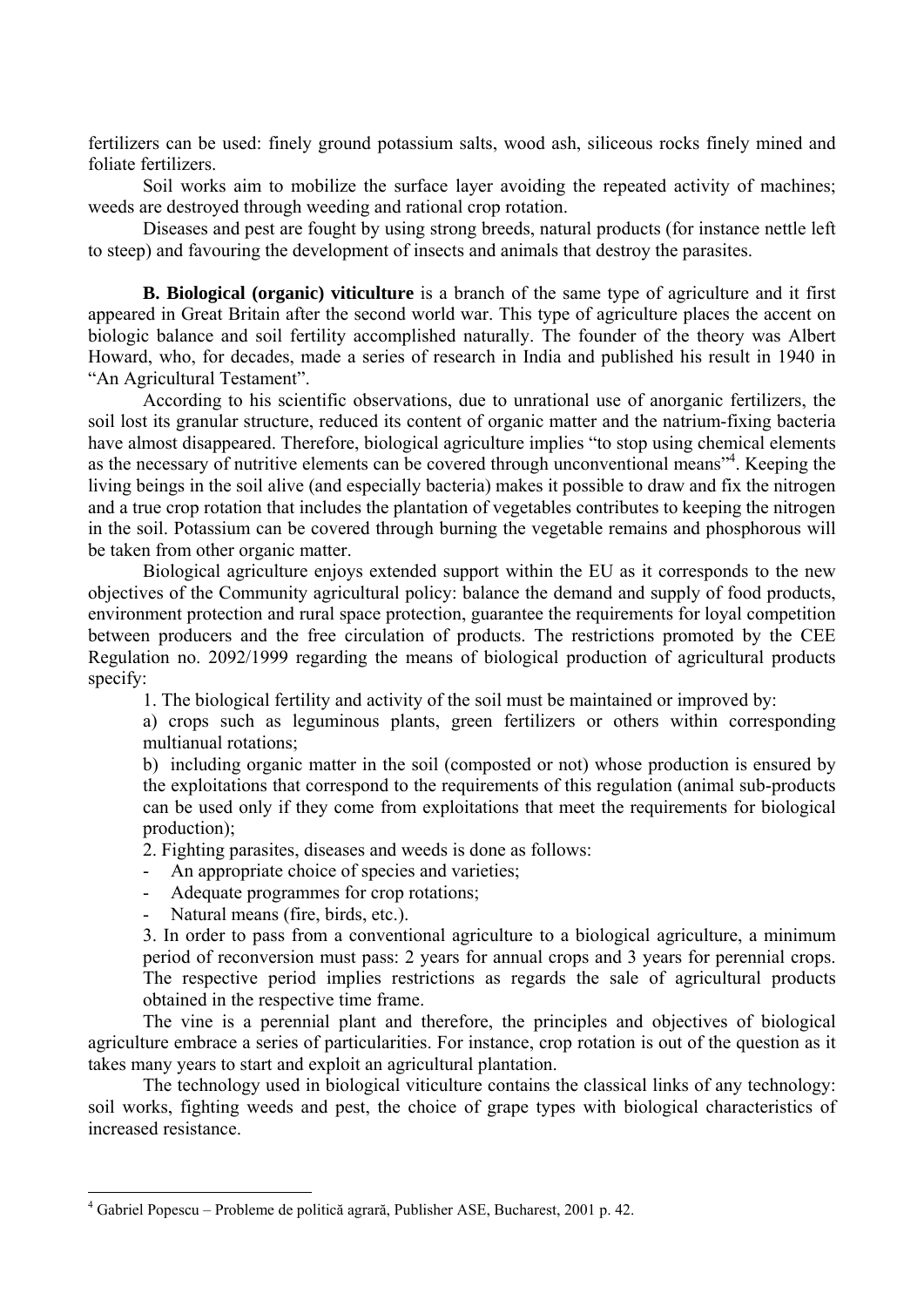fertilizers can be used: finely ground potassium salts, wood ash, siliceous rocks finely mined and foliate fertilizers.

Soil works aim to mobilize the surface layer avoiding the repeated activity of machines; weeds are destroyed through weeding and rational crop rotation.

Diseases and pest are fought by using strong breeds, natural products (for instance nettle left to steep) and favouring the development of insects and animals that destroy the parasites.

**B. Biological (organic) viticulture** is a branch of the same type of agriculture and it first appeared in Great Britain after the second world war. This type of agriculture places the accent on biologic balance and soil fertility accomplished naturally. The founder of the theory was Albert Howard, who, for decades, made a series of research in India and published his result in 1940 in "An Agricultural Testament".

According to his scientific observations, due to unrational use of anorganic fertilizers, the soil lost its granular structure, reduced its content of organic matter and the natrium-fixing bacteria have almost disappeared. Therefore, biological agriculture implies "to stop using chemical elements as the necessary of nutritive elements can be covered through unconventional means"<sup>4</sup>. Keeping the living beings in the soil alive (and especially bacteria) makes it possible to draw and fix the nitrogen and a true crop rotation that includes the plantation of vegetables contributes to keeping the nitrogen in the soil. Potassium can be covered through burning the vegetable remains and phosphorous will be taken from other organic matter.

Biological agriculture enjoys extended support within the EU as it corresponds to the new objectives of the Community agricultural policy: balance the demand and supply of food products, environment protection and rural space protection, guarantee the requirements for loyal competition between producers and the free circulation of products. The restrictions promoted by the CEE Regulation no. 2092/1999 regarding the means of biological production of agricultural products specify:

1. The biological fertility and activity of the soil must be maintained or improved by:

a) crops such as leguminous plants, green fertilizers or others within corresponding multianual rotations;

b) including organic matter in the soil (composted or not) whose production is ensured by the exploitations that correspond to the requirements of this regulation (animal sub-products can be used only if they come from exploitations that meet the requirements for biological production);

2. Fighting parasites, diseases and weeds is done as follows:

- An appropriate choice of species and varieties;
- Adequate programmes for crop rotations;
- Natural means (fire, birds, etc.).

 $\overline{a}$ 

3. In order to pass from a conventional agriculture to a biological agriculture, a minimum period of reconversion must pass: 2 years for annual crops and 3 years for perennial crops. The respective period implies restrictions as regards the sale of agricultural products obtained in the respective time frame.

The vine is a perennial plant and therefore, the principles and objectives of biological agriculture embrace a series of particularities. For instance, crop rotation is out of the question as it takes many years to start and exploit an agricultural plantation.

The technology used in biological viticulture contains the classical links of any technology: soil works, fighting weeds and pest, the choice of grape types with biological characteristics of increased resistance.

<sup>4</sup> Gabriel Popescu – Probleme de politică agrară, Publisher ASE, Bucharest, 2001 p. 42.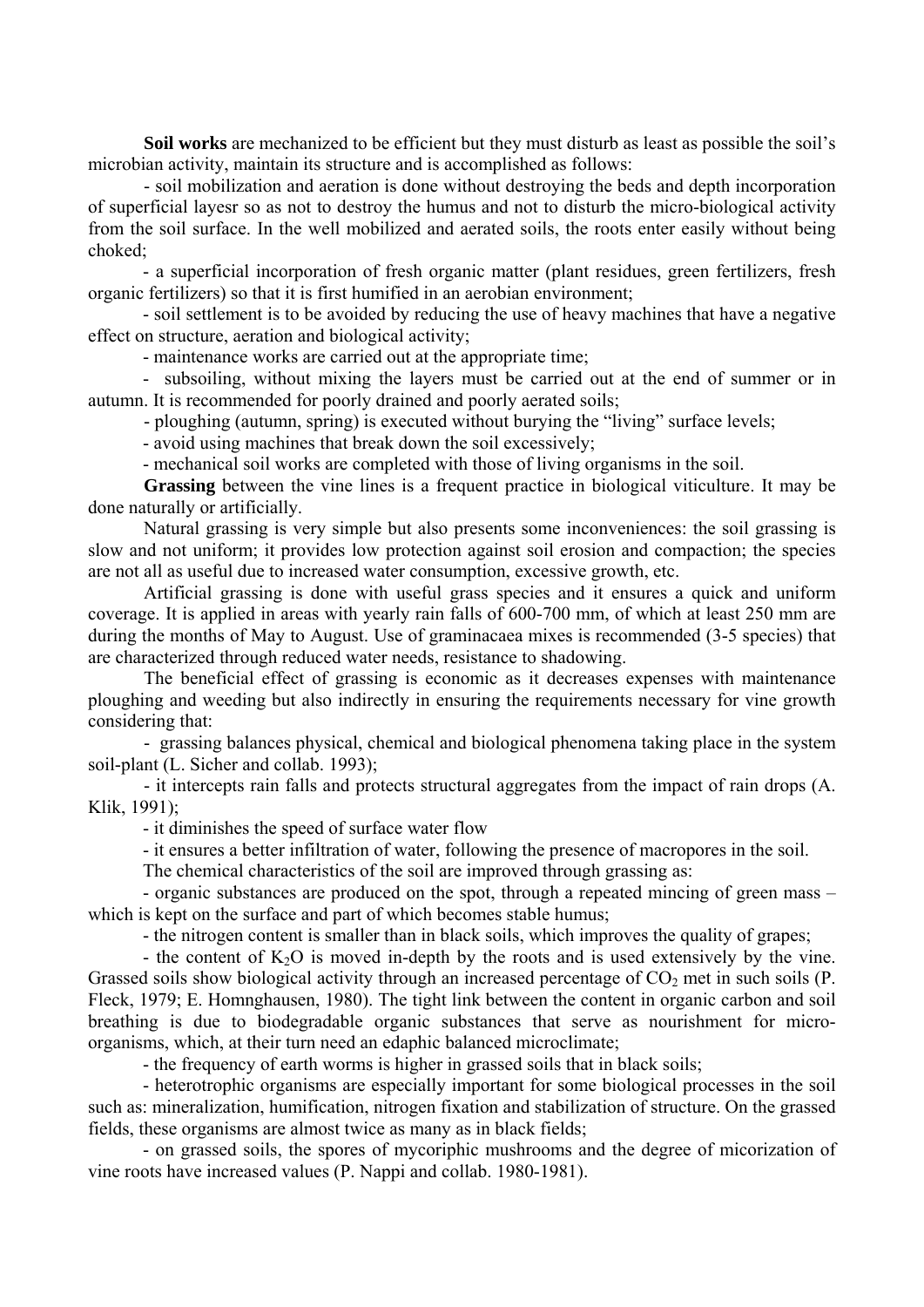**Soil works** are mechanized to be efficient but they must disturb as least as possible the soil's microbian activity, maintain its structure and is accomplished as follows:

- soil mobilization and aeration is done without destroying the beds and depth incorporation of superficial layesr so as not to destroy the humus and not to disturb the micro-biological activity from the soil surface. In the well mobilized and aerated soils, the roots enter easily without being choked;

- a superficial incorporation of fresh organic matter (plant residues, green fertilizers, fresh organic fertilizers) so that it is first humified in an aerobian environment;

- soil settlement is to be avoided by reducing the use of heavy machines that have a negative effect on structure, aeration and biological activity;

- maintenance works are carried out at the appropriate time;

- subsoiling, without mixing the layers must be carried out at the end of summer or in autumn. It is recommended for poorly drained and poorly aerated soils;

- ploughing (autumn, spring) is executed without burying the "living" surface levels;

- avoid using machines that break down the soil excessively;

- mechanical soil works are completed with those of living organisms in the soil.

**Grassing** between the vine lines is a frequent practice in biological viticulture. It may be done naturally or artificially.

Natural grassing is very simple but also presents some inconveniences: the soil grassing is slow and not uniform; it provides low protection against soil erosion and compaction; the species are not all as useful due to increased water consumption, excessive growth, etc.

Artificial grassing is done with useful grass species and it ensures a quick and uniform coverage. It is applied in areas with yearly rain falls of 600-700 mm, of which at least 250 mm are during the months of May to August. Use of graminacaea mixes is recommended (3-5 species) that are characterized through reduced water needs, resistance to shadowing.

The beneficial effect of grassing is economic as it decreases expenses with maintenance ploughing and weeding but also indirectly in ensuring the requirements necessary for vine growth considering that:

- grassing balances physical, chemical and biological phenomena taking place in the system soil-plant (L. Sicher and collab. 1993);

- it intercepts rain falls and protects structural aggregates from the impact of rain drops (A. Klik, 1991);

- it diminishes the speed of surface water flow

- it ensures a better infiltration of water, following the presence of macropores in the soil.

The chemical characteristics of the soil are improved through grassing as:

- organic substances are produced on the spot, through a repeated mincing of green mass – which is kept on the surface and part of which becomes stable humus;

- the nitrogen content is smaller than in black soils, which improves the quality of grapes;

- the content of  $K_2O$  is moved in-depth by the roots and is used extensively by the vine. Grassed soils show biological activity through an increased percentage of  $CO<sub>2</sub>$  met in such soils (P. Fleck, 1979; E. Homnghausen, 1980). The tight link between the content in organic carbon and soil breathing is due to biodegradable organic substances that serve as nourishment for microorganisms, which, at their turn need an edaphic balanced microclimate;

- the frequency of earth worms is higher in grassed soils that in black soils;

- heterotrophic organisms are especially important for some biological processes in the soil such as: mineralization, humification, nitrogen fixation and stabilization of structure. On the grassed fields, these organisms are almost twice as many as in black fields;

- on grassed soils, the spores of mycoriphic mushrooms and the degree of micorization of vine roots have increased values (P. Nappi and collab. 1980-1981).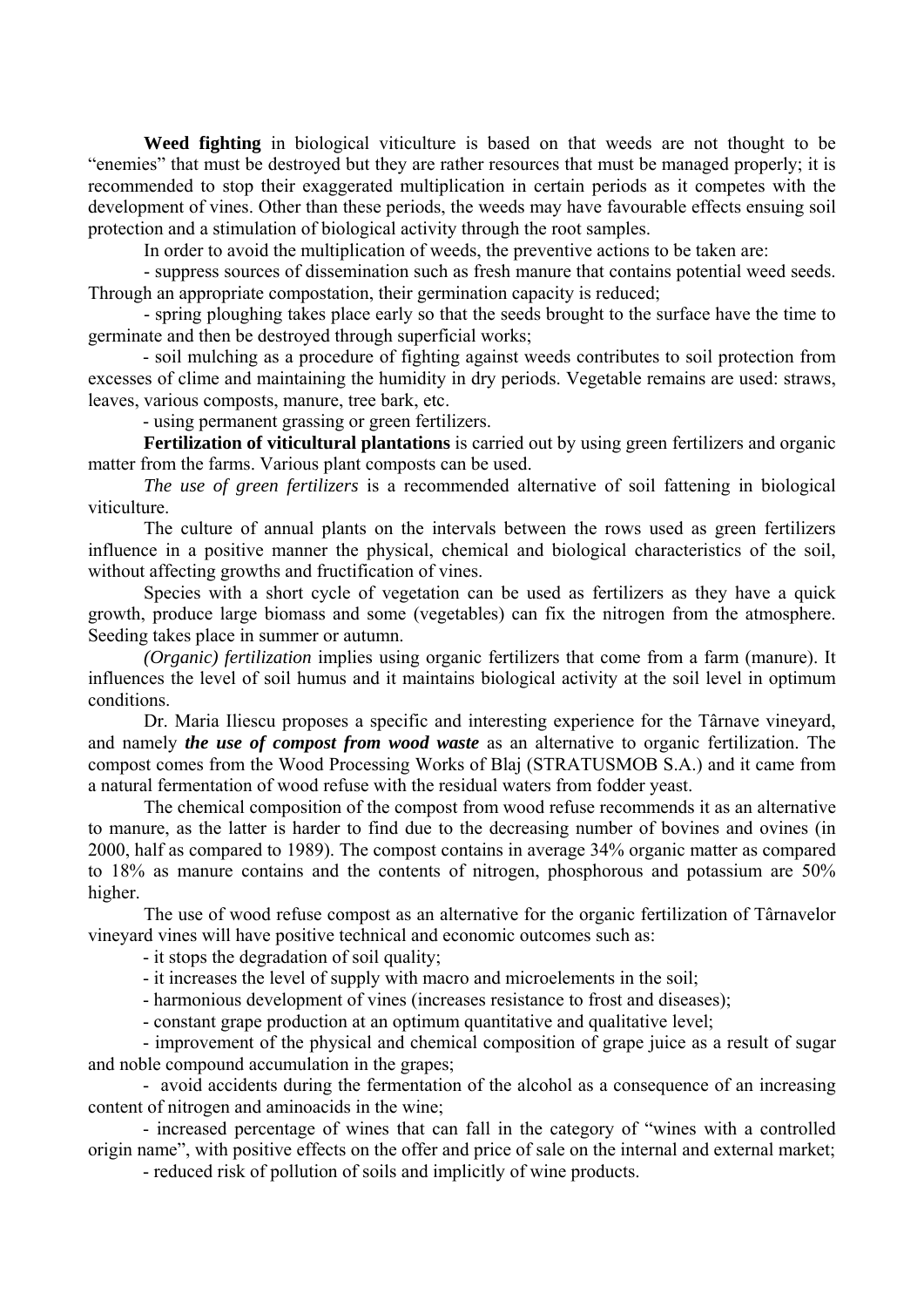**Weed fighting** in biological viticulture is based on that weeds are not thought to be "enemies" that must be destroyed but they are rather resources that must be managed properly; it is recommended to stop their exaggerated multiplication in certain periods as it competes with the development of vines. Other than these periods, the weeds may have favourable effects ensuing soil protection and a stimulation of biological activity through the root samples.

In order to avoid the multiplication of weeds, the preventive actions to be taken are:

- suppress sources of dissemination such as fresh manure that contains potential weed seeds. Through an appropriate compostation, their germination capacity is reduced;

- spring ploughing takes place early so that the seeds brought to the surface have the time to germinate and then be destroyed through superficial works;

- soil mulching as a procedure of fighting against weeds contributes to soil protection from excesses of clime and maintaining the humidity in dry periods. Vegetable remains are used: straws, leaves, various composts, manure, tree bark, etc.

- using permanent grassing or green fertilizers.

**Fertilization of viticultural plantations** is carried out by using green fertilizers and organic matter from the farms. Various plant composts can be used.

*The use of green fertilizers* is a recommended alternative of soil fattening in biological viticulture.

The culture of annual plants on the intervals between the rows used as green fertilizers influence in a positive manner the physical, chemical and biological characteristics of the soil, without affecting growths and fructification of vines.

Species with a short cycle of vegetation can be used as fertilizers as they have a quick growth, produce large biomass and some (vegetables) can fix the nitrogen from the atmosphere. Seeding takes place in summer or autumn.

*(Organic) fertilization implies using organic fertilizers that come from a farm (manure). It* influences the level of soil humus and it maintains biological activity at the soil level in optimum conditions.

Dr. Maria Iliescu proposes a specific and interesting experience for the Târnave vineyard, and namely *the use of compost from wood waste* as an alternative to organic fertilization. The compost comes from the Wood Processing Works of Blaj (STRATUSMOB S.A.) and it came from a natural fermentation of wood refuse with the residual waters from fodder yeast.

The chemical composition of the compost from wood refuse recommends it as an alternative to manure, as the latter is harder to find due to the decreasing number of bovines and ovines (in 2000, half as compared to 1989). The compost contains in average 34% organic matter as compared to 18% as manure contains and the contents of nitrogen, phosphorous and potassium are 50% higher.

The use of wood refuse compost as an alternative for the organic fertilization of Târnavelor vineyard vines will have positive technical and economic outcomes such as:

- it stops the degradation of soil quality;

- it increases the level of supply with macro and microelements in the soil;

- harmonious development of vines (increases resistance to frost and diseases);

- constant grape production at an optimum quantitative and qualitative level;

- improvement of the physical and chemical composition of grape juice as a result of sugar and noble compound accumulation in the grapes;

- avoid accidents during the fermentation of the alcohol as a consequence of an increasing content of nitrogen and aminoacids in the wine;

- increased percentage of wines that can fall in the category of "wines with a controlled origin name", with positive effects on the offer and price of sale on the internal and external market;

- reduced risk of pollution of soils and implicitly of wine products.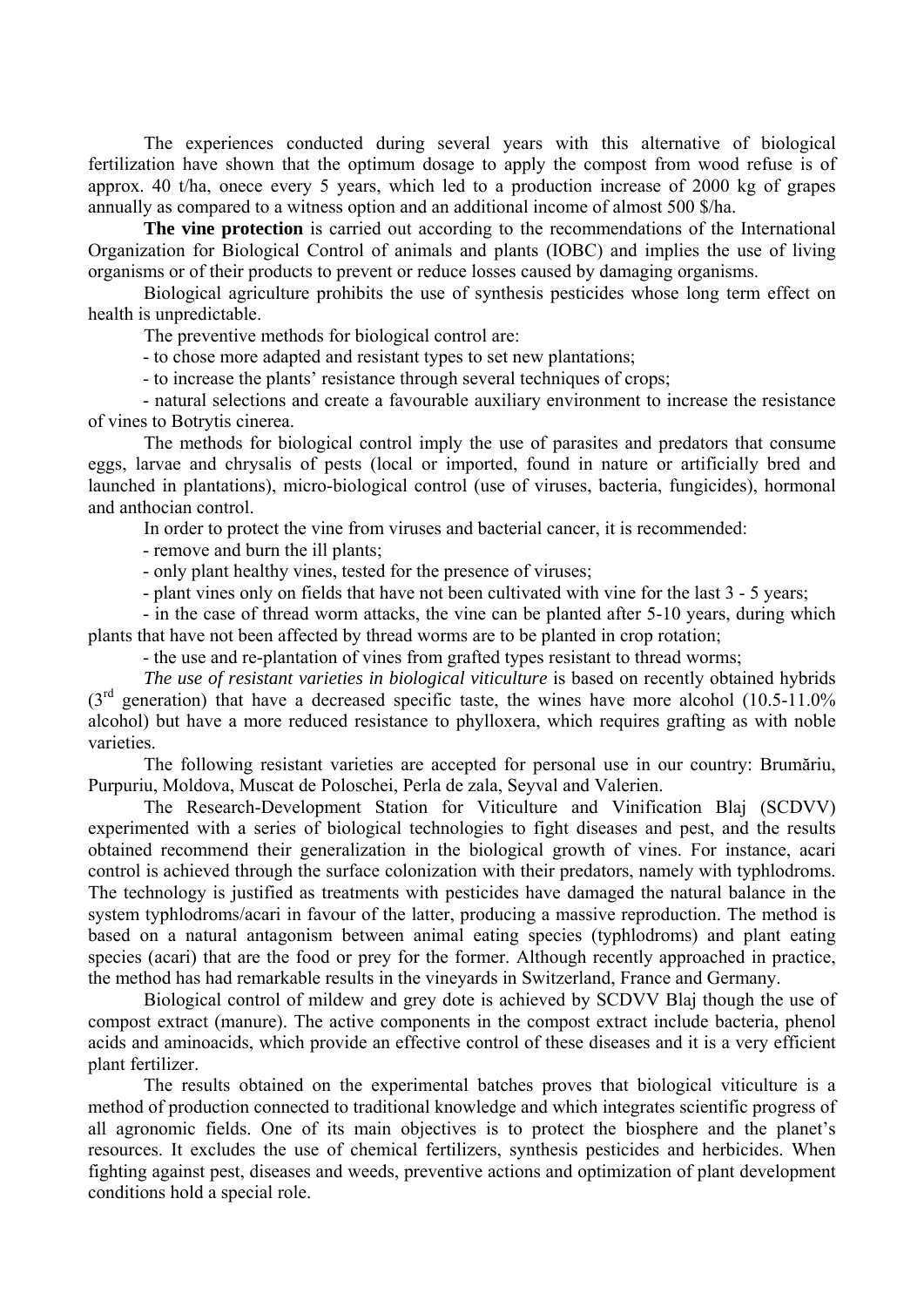The experiences conducted during several years with this alternative of biological fertilization have shown that the optimum dosage to apply the compost from wood refuse is of approx. 40 t/ha, onece every 5 years, which led to a production increase of 2000 kg of grapes annually as compared to a witness option and an additional income of almost 500 \$/ha.

**The vine protection** is carried out according to the recommendations of the International Organization for Biological Control of animals and plants (IOBC) and implies the use of living organisms or of their products to prevent or reduce losses caused by damaging organisms.

Biological agriculture prohibits the use of synthesis pesticides whose long term effect on health is unpredictable.

The preventive methods for biological control are:

- to chose more adapted and resistant types to set new plantations;

- to increase the plants' resistance through several techniques of crops;

- natural selections and create a favourable auxiliary environment to increase the resistance of vines to Botrytis cinerea.

The methods for biological control imply the use of parasites and predators that consume eggs, larvae and chrysalis of pests (local or imported, found in nature or artificially bred and launched in plantations), micro-biological control (use of viruses, bacteria, fungicides), hormonal and anthocian control.

In order to protect the vine from viruses and bacterial cancer, it is recommended:

- remove and burn the ill plants;

- only plant healthy vines, tested for the presence of viruses;

- plant vines only on fields that have not been cultivated with vine for the last 3 - 5 years;

- in the case of thread worm attacks, the vine can be planted after 5-10 years, during which plants that have not been affected by thread worms are to be planted in crop rotation;

- the use and re-plantation of vines from grafted types resistant to thread worms;

The use of resistant varieties in biological viticulture is based on recently obtained hybrids  $(3<sup>rd</sup>$  generation) that have a decreased specific taste, the wines have more alcohol  $(10.5-11.0\%)$ alcohol) but have a more reduced resistance to phylloxera, which requires grafting as with noble varieties.

The following resistant varieties are accepted for personal use in our country: Brumăriu, Purpuriu, Moldova, Muscat de Poloschei, Perla de zala, Seyval and Valerien.

The Research-Development Station for Viticulture and Vinification Blaj (SCDVV) experimented with a series of biological technologies to fight diseases and pest, and the results obtained recommend their generalization in the biological growth of vines. For instance, acari control is achieved through the surface colonization with their predators, namely with typhlodroms. The technology is justified as treatments with pesticides have damaged the natural balance in the system typhlodroms/acari in favour of the latter, producing a massive reproduction. The method is based on a natural antagonism between animal eating species (typhlodroms) and plant eating species (acari) that are the food or prey for the former. Although recently approached in practice, the method has had remarkable results in the vineyards in Switzerland, France and Germany.

Biological control of mildew and grey dote is achieved by SCDVV Blaj though the use of compost extract (manure). The active components in the compost extract include bacteria, phenol acids and aminoacids, which provide an effective control of these diseases and it is a very efficient plant fertilizer.

The results obtained on the experimental batches proves that biological viticulture is a method of production connected to traditional knowledge and which integrates scientific progress of all agronomic fields. One of its main objectives is to protect the biosphere and the planet's resources. It excludes the use of chemical fertilizers, synthesis pesticides and herbicides. When fighting against pest, diseases and weeds, preventive actions and optimization of plant development conditions hold a special role.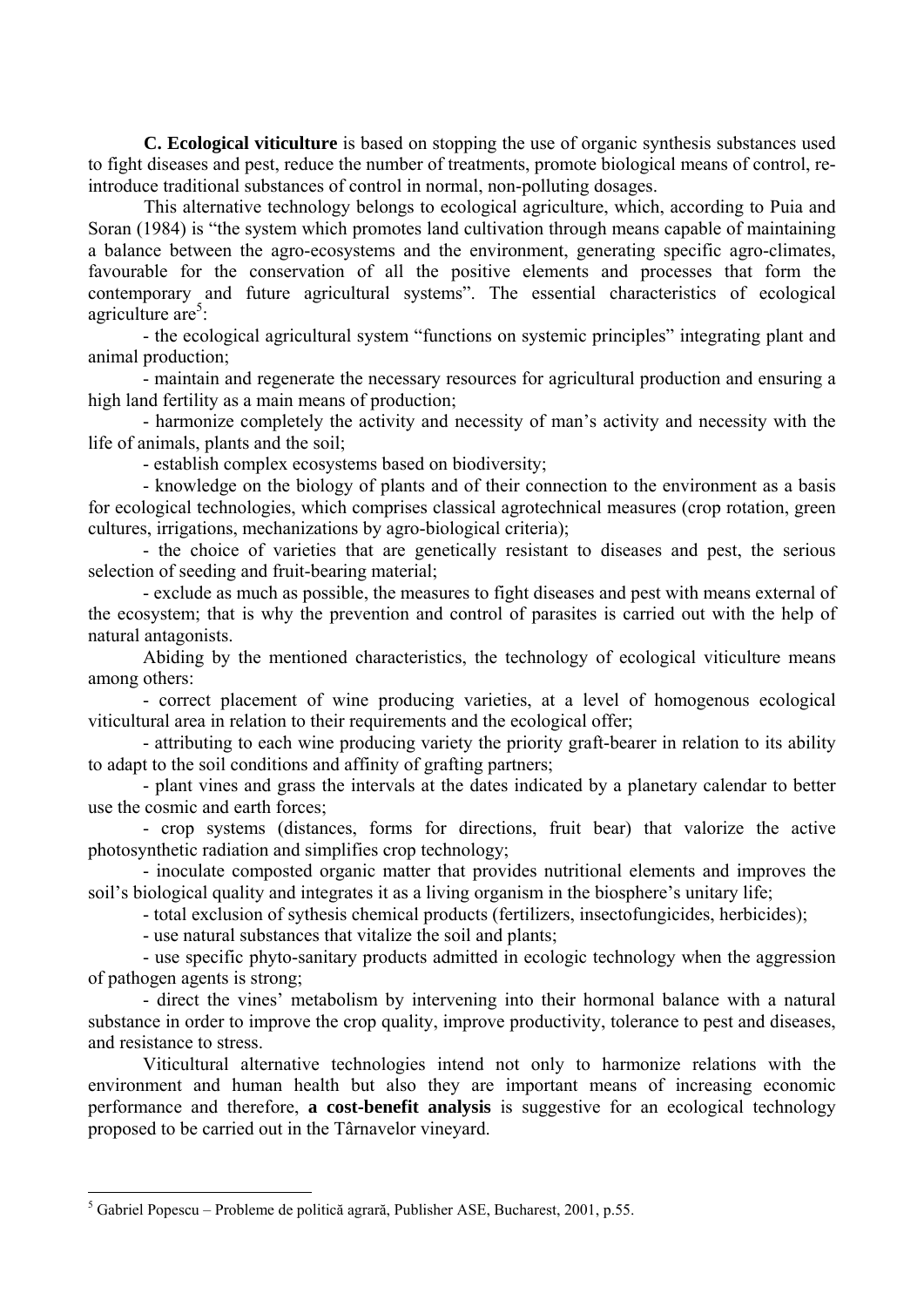**C. Ecological viticulture** is based on stopping the use of organic synthesis substances used to fight diseases and pest, reduce the number of treatments, promote biological means of control, reintroduce traditional substances of control in normal, non-polluting dosages.

This alternative technology belongs to ecological agriculture, which, according to Puia and Soran (1984) is "the system which promotes land cultivation through means capable of maintaining a balance between the agro-ecosystems and the environment, generating specific agro-climates, favourable for the conservation of all the positive elements and processes that form the contemporary and future agricultural systems". The essential characteristics of ecological agriculture  $are^5$ :

- the ecological agricultural system "functions on systemic principles" integrating plant and animal production;

- maintain and regenerate the necessary resources for agricultural production and ensuring a high land fertility as a main means of production;

- harmonize completely the activity and necessity of man's activity and necessity with the life of animals, plants and the soil;

- establish complex ecosystems based on biodiversity;

- knowledge on the biology of plants and of their connection to the environment as a basis for ecological technologies, which comprises classical agrotechnical measures (crop rotation, green cultures, irrigations, mechanizations by agro-biological criteria);

- the choice of varieties that are genetically resistant to diseases and pest, the serious selection of seeding and fruit-bearing material;

- exclude as much as possible, the measures to fight diseases and pest with means external of the ecosystem; that is why the prevention and control of parasites is carried out with the help of natural antagonists.

Abiding by the mentioned characteristics, the technology of ecological viticulture means among others:

- correct placement of wine producing varieties, at a level of homogenous ecological viticultural area in relation to their requirements and the ecological offer;

- attributing to each wine producing variety the priority graft-bearer in relation to its ability to adapt to the soil conditions and affinity of grafting partners;

- plant vines and grass the intervals at the dates indicated by a planetary calendar to better use the cosmic and earth forces;

- crop systems (distances, forms for directions, fruit bear) that valorize the active photosynthetic radiation and simplifies crop technology;

- inoculate composted organic matter that provides nutritional elements and improves the soil's biological quality and integrates it as a living organism in the biosphere's unitary life;

- total exclusion of sythesis chemical products (fertilizers, insectofungicides, herbicides);

- use natural substances that vitalize the soil and plants;

- use specific phyto-sanitary products admitted in ecologic technology when the aggression of pathogen agents is strong;

- direct the vines' metabolism by intervening into their hormonal balance with a natural substance in order to improve the crop quality, improve productivity, tolerance to pest and diseases, and resistance to stress.

Viticultural alternative technologies intend not only to harmonize relations with the environment and human health but also they are important means of increasing economic performance and therefore, **a cost-benefit analysis** is suggestive for an ecological technology proposed to be carried out in the Târnavelor vineyard.

 $\overline{a}$ 

<sup>&</sup>lt;sup>5</sup> Gabriel Popescu – Probleme de politică agrară, Publisher ASE, Bucharest, 2001, p.55.